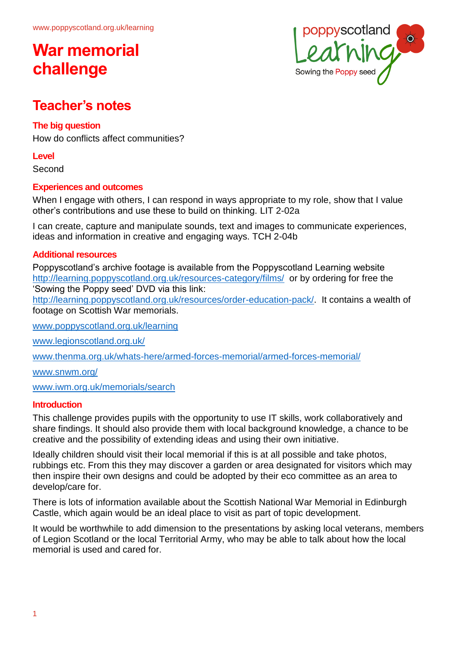

### **Teacher's notes**

### **The big question**

How do conflicts affect communities?

### **Level**

Second

### **Experiences and outcomes**

When I engage with others, I can respond in ways appropriate to my role, show that I value other's contributions and use these to build on thinking. LIT 2-02a

I can create, capture and manipulate sounds, text and images to communicate experiences, ideas and information in creative and engaging ways. TCH 2-04b

### **Additional resources**

Poppyscotland's archive footage is available from the Poppyscotland Learning website <http://learning.poppyscotland.org.uk/resources-category/films/>or by ordering for free the 'Sowing the Poppy seed' DVD via this link:

[http://learning.poppyscotland.org.uk/resources/order-education-pack/.](http://learning.poppyscotland.org.uk/resources/order-education-pack/) It contains a wealth of footage on Scottish War memorials.

[www.poppyscotland.org.uk/learning](http://www.poppyscotland.org.uk/learning)

[www.legionscotland.org.uk/](https://www.legionscotland.org.uk/)

[www.thenma.org.uk/whats-here/armed-forces-memorial/armed-forces-memorial/](http://www.thenma.org.uk/whats-here/armed-forces-memorial/armed-forces-memorial/)

[www.snwm.org/](https://www.snwm.org/)

[www.iwm.org.uk/memorials/search](http://www.iwm.org.uk/memorials/search)

### **Introduction**

This challenge provides pupils with the opportunity to use IT skills, work collaboratively and share findings. It should also provide them with local background knowledge, a chance to be creative and the possibility of extending ideas and using their own initiative.

Ideally children should visit their local memorial if this is at all possible and take photos, rubbings etc. From this they may discover a garden or area designated for visitors which may then inspire their own designs and could be adopted by their eco committee as an area to develop/care for.

There is lots of information available about the Scottish National War Memorial in Edinburgh Castle, which again would be an ideal place to visit as part of topic development.

It would be worthwhile to add dimension to the presentations by asking local veterans, members of Legion Scotland or the local Territorial Army, who may be able to talk about how the local memorial is used and cared for.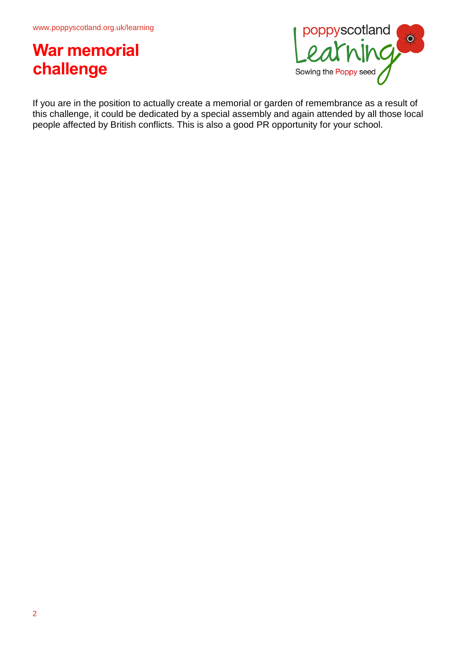

If you are in the position to actually create a memorial or garden of remembrance as a result of this challenge, it could be dedicated by a special assembly and again attended by all those local people affected by British conflicts. This is also a good PR opportunity for your school.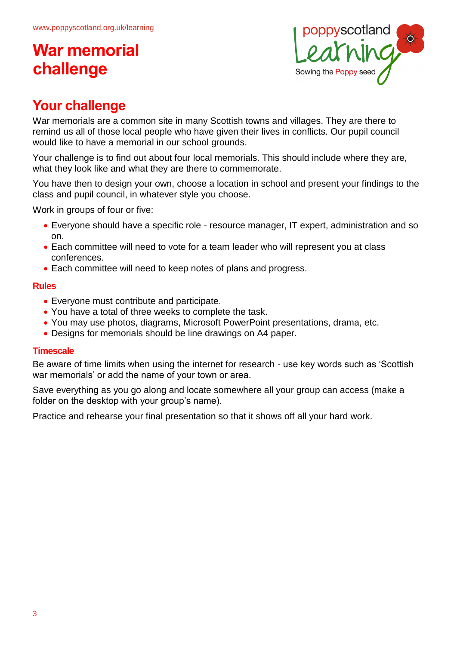

## **Your challenge**

War memorials are a common site in many Scottish towns and villages. They are there to remind us all of those local people who have given their lives in conflicts. Our pupil council would like to have a memorial in our school grounds.

Your challenge is to find out about four local memorials. This should include where they are, what they look like and what they are there to commemorate.

You have then to design your own, choose a location in school and present your findings to the class and pupil council, in whatever style you choose.

Work in groups of four or five:

- Everyone should have a specific role resource manager, IT expert, administration and so on.
- Each committee will need to vote for a team leader who will represent you at class conferences.
- Each committee will need to keep notes of plans and progress.

### **Rules**

- Everyone must contribute and participate.
- You have a total of three weeks to complete the task.
- You may use photos, diagrams, Microsoft PowerPoint presentations, drama, etc.
- Designs for memorials should be line drawings on A4 paper.

### **Timescale**

Be aware of time limits when using the internet for research - use key words such as 'Scottish war memorials' or add the name of your town or area.

Save everything as you go along and locate somewhere all your group can access (make a folder on the desktop with your group's name).

Practice and rehearse your final presentation so that it shows off all your hard work.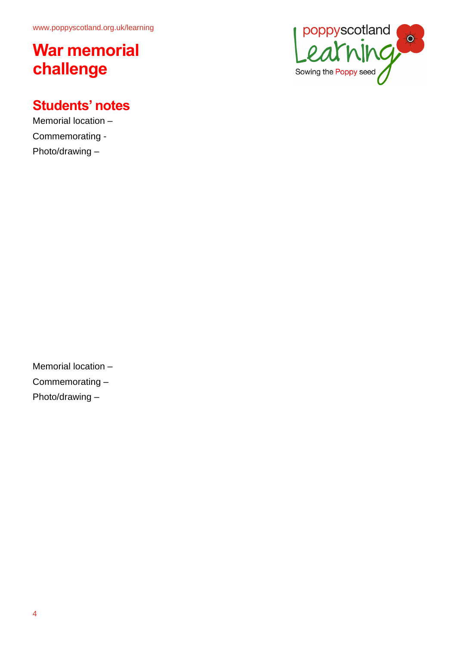## **Students' notes**

Memorial location – Commemorating - Photo/drawing –



Memorial location – Commemorating – Photo/drawing –